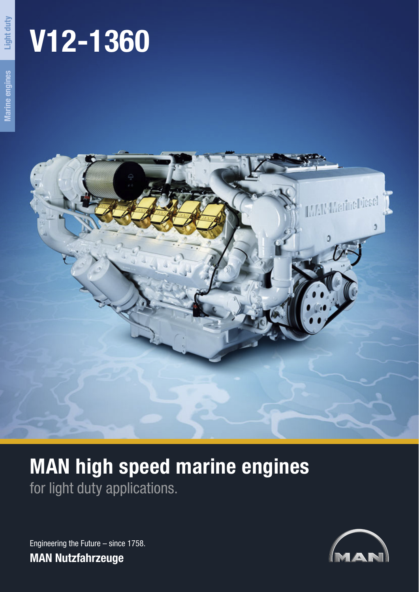# **V12-1360**

**Light duty**



# **MAN high speed marine engines** for light duty applications.

Engineering the Future – since 1758. **MAN Nutzfahrzeuge**

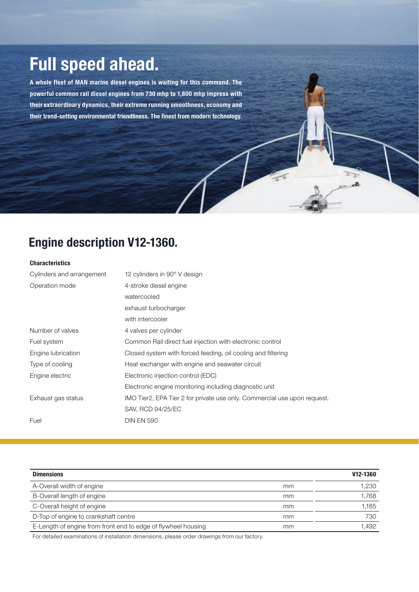## **Full speed ahead.**

**A whole fleet of MAN marine diesel engines is waiting for this command. The powerful common rail diesel engines from 730 mhp to 1,800 mhp impress with their extraordinary dynamics, their extreme running smoothness, economy and their trend-setting environmental friendliness. The finest from modern technology.**

### **Engine description V12-1360.**

#### **Characteristics**

| Cylinders and arrangement | 12 cylinders in 90° V design                                             |
|---------------------------|--------------------------------------------------------------------------|
| Operation mode            | 4-stroke diesel engine                                                   |
|                           | watercooled                                                              |
|                           | exhaust turbocharger                                                     |
|                           | with intercooler                                                         |
| Number of valves          | 4 valves per cylinder                                                    |
| Fuel system               | Common Rail direct fuel injection with electronic control                |
| Engine lubrication        | Closed system with forced feeding, oil cooling and filtering             |
| Type of cooling           | Heat exchanger with engine and seawater circuit                          |
| Engine electric           | Electronic injection control (EDC)                                       |
|                           | Electronic engine monitoring including diagnostic unit                   |
| Exhaust gas status        | IMO Tier2, EPA Tier 2 for private use only. Commercial use upon request. |
|                           | SAV, RCD 94/25/EC                                                        |
| Fuel                      | <b>DIN EN 590</b>                                                        |

 $\overline{x}$ 

| <b>Dimensions</b>                                             |    | V <sub>12</sub> -1360 |
|---------------------------------------------------------------|----|-----------------------|
| A-Overall width of engine                                     | mm | 1.230                 |
| B-Overall length of engine                                    | mm | 1.768                 |
| C-Overall height of engine                                    | mm | 1.185                 |
| D-Top of engine to crankshaft centre                          | mm | 730                   |
| E-Length of engine from front end to edge of flywheel housing | mm | .492                  |

For detailed examinations of installation dimensions, please order drawings from our factory.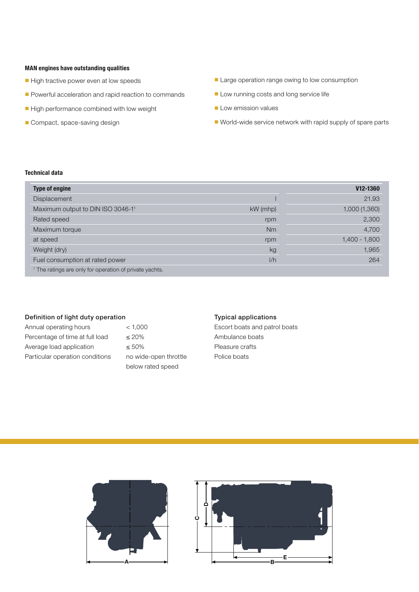#### **MAN engines have outstanding qualities**

- High tractive power even at low speeds
- Powerful acceleration and rapid reaction to commands
- High performance combined with low weight
- Compact, space-saving design
- Large operation range owing to low consumption
- Low running costs and long service life
- Low emission values
- World-wide service network with rapid supply of spare parts

#### **Technical data**

| <b>Type of engine</b>                                              |            | V <sub>12</sub> -1360 |
|--------------------------------------------------------------------|------------|-----------------------|
| Displacement                                                       |            | 21.93                 |
| Maximum output to DIN ISO 3046-11                                  | $kW$ (mhp) | 1,000 (1,360)         |
| Rated speed                                                        | rpm        | 2,300                 |
| Maximum torque                                                     | Nm         | 4,700                 |
| at speed                                                           | rpm        | $1,400 - 1,800$       |
| Weight (dry)                                                       | kg         | 1,965                 |
| Fuel consumption at rated power                                    | 1/h        | 264                   |
| <sup>1</sup> The ratings are only for operation of private yachts. |            |                       |

#### Definition of light duty operation

| Annual operating hours          |
|---------------------------------|
| Percentage of time at full load |
| Average load application        |
| Particular operation conditions |

 $< 1,000$  $\leq 20\%$  $\leq 50\%$ no wide-open throttle below rated speed

#### Typical applications

Escort boats and patrol boats Ambulance boats Pleasure crafts Police boats